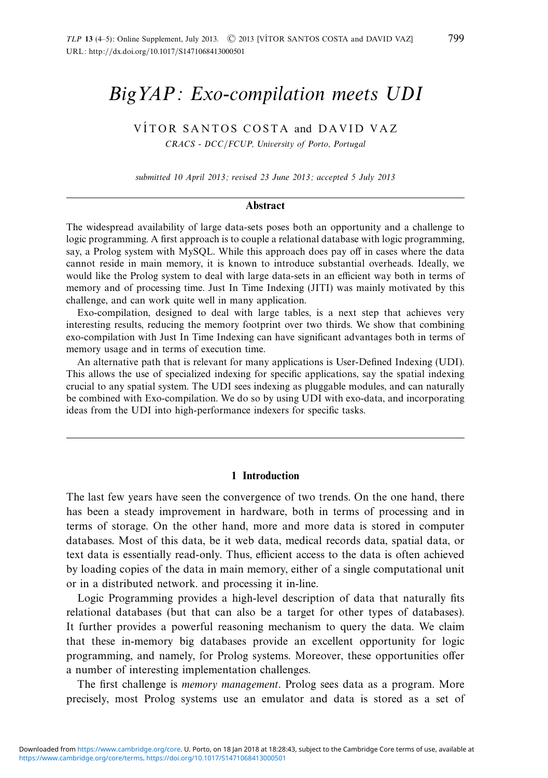# BigYAP: Exo-compilation meets UDI

VÍTOR SANTOS COSTA and DAVID VAZ

CRACS - DCC/FCUP, University of Porto, Portugal

submitted 10 April 2013; revised 23 June 2013; accepted 5 July 2013

#### **Abstract**

The widespread availability of large data-sets poses both an opportunity and a challenge to logic programming. A first approach is to couple a relational database with logic programming, say, a Prolog system with MySQL. While this approach does pay off in cases where the data cannot reside in main memory, it is known to introduce substantial overheads. Ideally, we would like the Prolog system to deal with large data-sets in an efficient way both in terms of memory and of processing time. Just In Time Indexing (JITI) was mainly motivated by this challenge, and can work quite well in many application.

Exo-compilation, designed to deal with large tables, is a next step that achieves very interesting results, reducing the memory footprint over two thirds. We show that combining exo-compilation with Just In Time Indexing can have significant advantages both in terms of memory usage and in terms of execution time.

An alternative path that is relevant for many applications is User-Defined Indexing (UDI). This allows the use of specialized indexing for specific applications, say the spatial indexing crucial to any spatial system. The UDI sees indexing as pluggable modules, and can naturally be combined with Exo-compilation. We do so by using UDI with exo-data, and incorporating ideas from the UDI into high-performance indexers for specific tasks.

#### **1 Introduction**

The last few years have seen the convergence of two trends. On the one hand, there has been a steady improvement in hardware, both in terms of processing and in terms of storage. On the other hand, more and more data is stored in computer databases. Most of this data, be it web data, medical records data, spatial data, or text data is essentially read-only. Thus, efficient access to the data is often achieved by loading copies of the data in main memory, either of a single computational unit or in a distributed network. and processing it in-line.

Logic Programming provides a high-level description of data that naturally fits relational databases (but that can also be a target for other types of databases). It further provides a powerful reasoning mechanism to query the data. We claim that these in-memory big databases provide an excellent opportunity for logic programming, and namely, for Prolog systems. Moreover, these opportunities offer a number of interesting implementation challenges.

The first challenge is memory management. Prolog sees data as a program. More precisely, most Prolog systems use an emulator and data is stored as a set of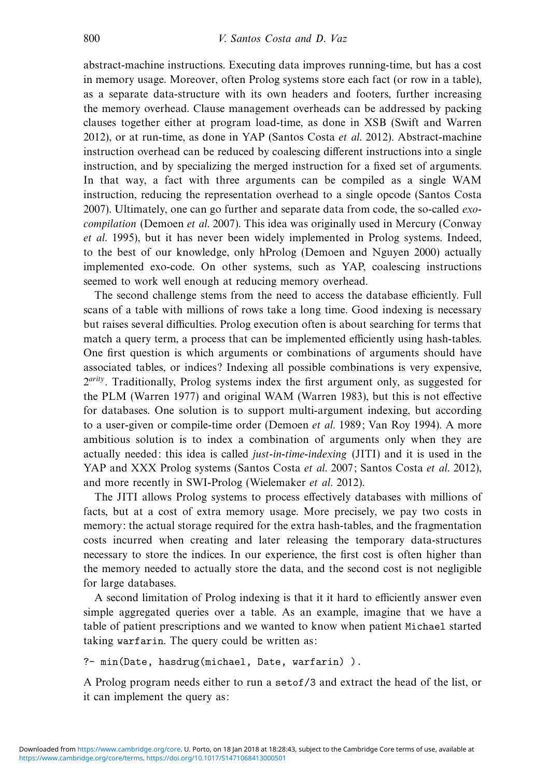abstract-machine instructions. Executing data improves running-time, but has a cost in memory usage. Moreover, often Prolog systems store each fact (or row in a table), as a separate data-structure with its own headers and footers, further increasing the memory overhead. Clause management overheads can be addressed by packing clauses together either at program load-time, as done in XSB (Swift and Warren 2012), or at run-time, as done in YAP (Santos Costa et al. 2012). Abstract-machine instruction overhead can be reduced by coalescing different instructions into a single instruction, and by specializing the merged instruction for a fixed set of arguments. In that way, a fact with three arguments can be compiled as a single WAM instruction, reducing the representation overhead to a single opcode (Santos Costa 2007). Ultimately, one can go further and separate data from code, the so-called exocompilation (Demoen et al. 2007). This idea was originally used in Mercury (Conway et al. 1995), but it has never been widely implemented in Prolog systems. Indeed, to the best of our knowledge, only hProlog (Demoen and Nguyen 2000) actually implemented exo-code. On other systems, such as YAP, coalescing instructions seemed to work well enough at reducing memory overhead.

The second challenge stems from the need to access the database efficiently. Full scans of a table with millions of rows take a long time. Good indexing is necessary but raises several difficulties. Prolog execution often is about searching for terms that match a query term, a process that can be implemented efficiently using hash-tables. One first question is which arguments or combinations of arguments should have associated tables, or indices? Indexing all possible combinations is very expensive, 2*arity*. Traditionally, Prolog systems index the first argument only, as suggested for the PLM (Warren 1977) and original WAM (Warren 1983), but this is not effective for databases. One solution is to support multi-argument indexing, but according to a user-given or compile-time order (Demoen et al. 1989; Van Roy 1994). A more ambitious solution is to index a combination of arguments only when they are actually needed: this idea is called just-in-time-indexing (JITI) and it is used in the YAP and XXX Prolog systems (Santos Costa et al. 2007; Santos Costa et al. 2012), and more recently in SWI-Prolog (Wielemaker et al. 2012).

The JITI allows Prolog systems to process effectively databases with millions of facts, but at a cost of extra memory usage. More precisely, we pay two costs in memory: the actual storage required for the extra hash-tables, and the fragmentation costs incurred when creating and later releasing the temporary data-structures necessary to store the indices. In our experience, the first cost is often higher than the memory needed to actually store the data, and the second cost is not negligible for large databases.

A second limitation of Prolog indexing is that it it hard to efficiently answer even simple aggregated queries over a table. As an example, imagine that we have a table of patient prescriptions and we wanted to know when patient Michael started taking warfarin. The query could be written as:

?- min(Date, hasdrug(michael, Date, warfarin) ).

A Prolog program needs either to run a setof/3 and extract the head of the list, or it can implement the query as: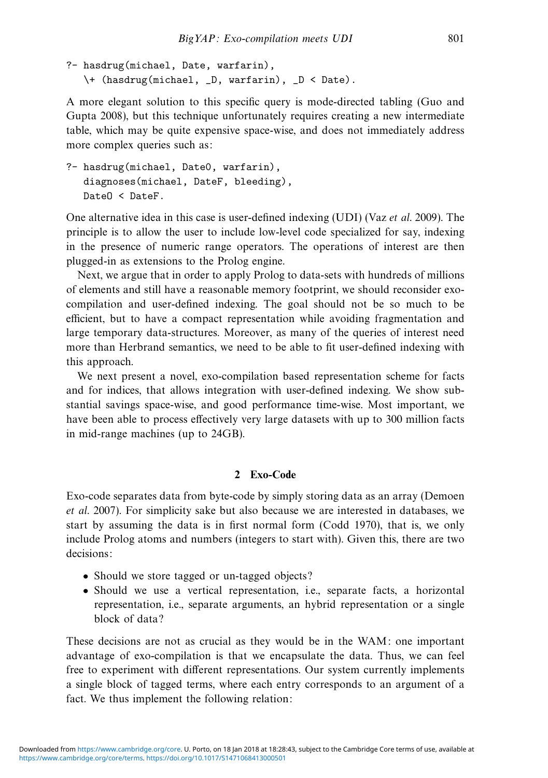```
?- hasdrug(michael, Date, warfarin),
   \+ (hasdrug(michael, _D, warfarin), _D < Date).
```
A more elegant solution to this specific query is mode-directed tabling (Guo and Gupta 2008), but this technique unfortunately requires creating a new intermediate table, which may be quite expensive space-wise, and does not immediately address more complex queries such as:

```
?- hasdrug(michael, Date0, warfarin),
   diagnoses(michael, DateF, bleeding),
   DateO < DateF.
```
One alternative idea in this case is user-defined indexing (UDI) (Vaz et al. 2009). The principle is to allow the user to include low-level code specialized for say, indexing in the presence of numeric range operators. The operations of interest are then plugged-in as extensions to the Prolog engine.

Next, we argue that in order to apply Prolog to data-sets with hundreds of millions of elements and still have a reasonable memory footprint, we should reconsider exocompilation and user-defined indexing. The goal should not be so much to be efficient, but to have a compact representation while avoiding fragmentation and large temporary data-structures. Moreover, as many of the queries of interest need more than Herbrand semantics, we need to be able to fit user-defined indexing with this approach.

We next present a novel, exo-compilation based representation scheme for facts and for indices, that allows integration with user-defined indexing. We show substantial savings space-wise, and good performance time-wise. Most important, we have been able to process effectively very large datasets with up to 300 million facts in mid-range machines (up to 24GB).

## **2 Exo-Code**

Exo-code separates data from byte-code by simply storing data as an array (Demoen et al. 2007). For simplicity sake but also because we are interested in databases, we start by assuming the data is in first normal form (Codd 1970), that is, we only include Prolog atoms and numbers (integers to start with). Given this, there are two decisions:

- Should we store tagged or un-tagged objects?
- Should we use a vertical representation, i.e., separate facts, a horizontal representation, i.e., separate arguments, an hybrid representation or a single block of data?

These decisions are not as crucial as they would be in the WAM: one important advantage of exo-compilation is that we encapsulate the data. Thus, we can feel free to experiment with different representations. Our system currently implements a single block of tagged terms, where each entry corresponds to an argument of a fact. We thus implement the following relation: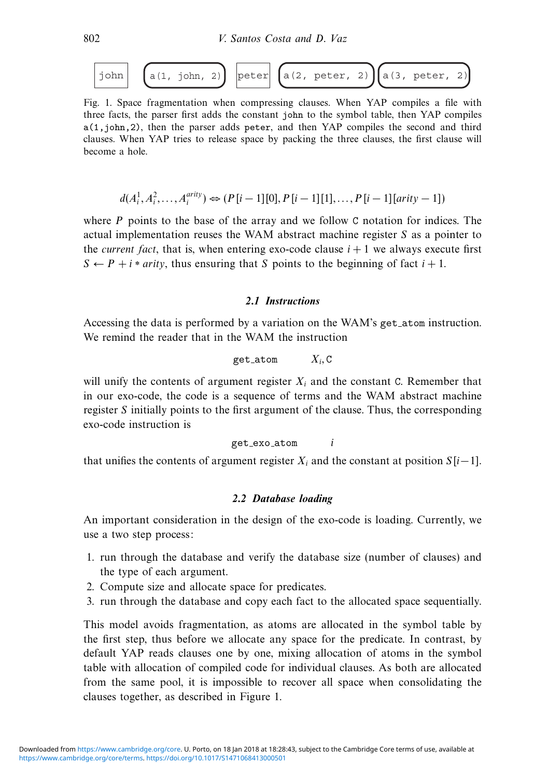$$
\boxed{\text{john}} \quad \boxed{a(1, \text{john}, 2)} \quad \boxed{\text{peter}} \quad \boxed{a(2, \text{peter}, 2)} \quad \boxed{a(3, \text{peter}, 2)}
$$

Fig. 1. Space fragmentation when compressing clauses. When YAP compiles a file with three facts, the parser first adds the constant john to the symbol table, then YAP compiles  $a(1,john,2)$ , then the parser adds peter, and then YAP compiles the second and third clauses. When YAP tries to release space by packing the three clauses, the first clause will become a hole.

$$
d(A_i^1, A_i^2, \dots, A_i^{arity}) \Leftrightarrow (P[i-1][0], P[i-1][1], \dots, P[i-1][arity-1])
$$

where *P* points to the base of the array and we follow C notation for indices. The actual implementation reuses the WAM abstract machine register *S* as a pointer to the *current fact*, that is, when entering exo-code clause  $i + 1$  we always execute first  $S \leftarrow P + i *$  *arity*, thus ensuring that *S* points to the beginning of fact  $i + 1$ .

# *2.1 Instructions*

Accessing the data is performed by a variation on the WAM's get atom instruction. We remind the reader that in the WAM the instruction

$$
\quad \texttt{get\_atom} \qquad X_i, \texttt{C}
$$

will unify the contents of argument register  $X_i$  and the constant C. Remember that in our exo-code, the code is a sequence of terms and the WAM abstract machine register *S* initially points to the first argument of the clause. Thus, the corresponding exo-code instruction is

$$
\mathtt{get\_exo\_atom} \qquad i
$$

that unifies the contents of argument register  $X_i$  and the constant at position  $S[i-1]$ .

#### *2.2 Database loading*

An important consideration in the design of the exo-code is loading. Currently, we use a two step process:

- 1. run through the database and verify the database size (number of clauses) and the type of each argument.
- 2. Compute size and allocate space for predicates.
- 3. run through the database and copy each fact to the allocated space sequentially.

This model avoids fragmentation, as atoms are allocated in the symbol table by the first step, thus before we allocate any space for the predicate. In contrast, by default YAP reads clauses one by one, mixing allocation of atoms in the symbol table with allocation of compiled code for individual clauses. As both are allocated from the same pool, it is impossible to recover all space when consolidating the clauses together, as described in Figure 1.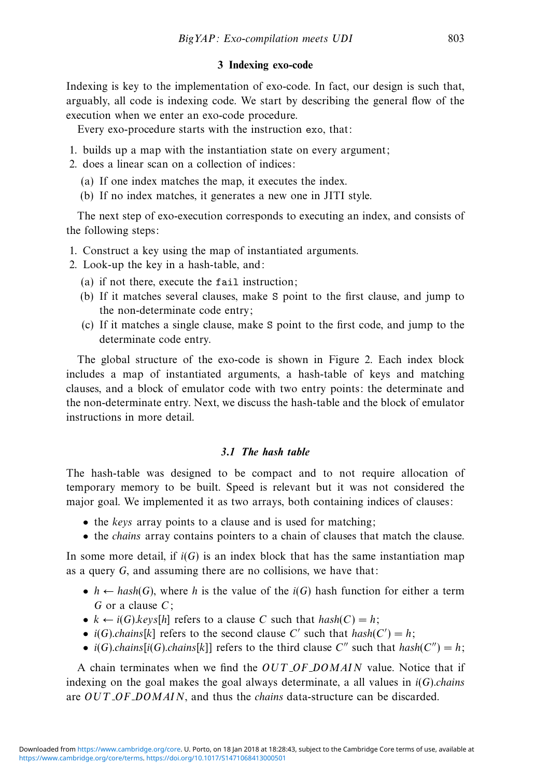#### **3 Indexing exo-code**

Indexing is key to the implementation of exo-code. In fact, our design is such that, arguably, all code is indexing code. We start by describing the general flow of the execution when we enter an exo-code procedure.

Every exo-procedure starts with the instruction exo, that:

- 1. builds up a map with the instantiation state on every argument;
- 2. does a linear scan on a collection of indices:
	- (a) If one index matches the map, it executes the index.
	- (b) If no index matches, it generates a new one in JITI style.

The next step of exo-execution corresponds to executing an index, and consists of the following steps:

- 1. Construct a key using the map of instantiated arguments.
- 2. Look-up the key in a hash-table, and:
	- (a) if not there, execute the fail instruction;
	- (b) If it matches several clauses, make S point to the first clause, and jump to the non-determinate code entry;
	- (c) If it matches a single clause, make S point to the first code, and jump to the determinate code entry.

The global structure of the exo-code is shown in Figure 2. Each index block includes a map of instantiated arguments, a hash-table of keys and matching clauses, and a block of emulator code with two entry points: the determinate and the non-determinate entry. Next, we discuss the hash-table and the block of emulator instructions in more detail.

## *3.1 The hash table*

The hash-table was designed to be compact and to not require allocation of temporary memory to be built. Speed is relevant but it was not considered the major goal. We implemented it as two arrays, both containing indices of clauses:

- the keys array points to a clause and is used for matching;
- the *chains* array contains pointers to a chain of clauses that match the clause.

In some more detail, if  $i(G)$  is an index block that has the same instantiation map as a query *G*, and assuming there are no collisions, we have that:

- $h \leftarrow hash(G)$ , where *h* is the value of the *i*(*G*) hash function for either a term *G* or a clause *C*;
- $k \leftarrow i(G)$ *.keys*[*h*] refers to a clause *C* such that  $hash(C) = h$ ;
- *i*(*G*).*chains*[*k*] refers to the second clause *C'* such that  $hash(C') = h$ ;
- $i(G)$ .*chains*[ $i(G)$ .*chains*[ $k$ ]] refers to the third clause *C*<sup>"</sup> such that  $hash(C'') = h$ ;

A chain terminates when we find the *OUT OF DOMAIN* value. Notice that if indexing on the goal makes the goal always determinate, a all values in *i*(*G*)*.chains* are *OUT OF DOMAIN*, and thus the *chains* data-structure can be discarded.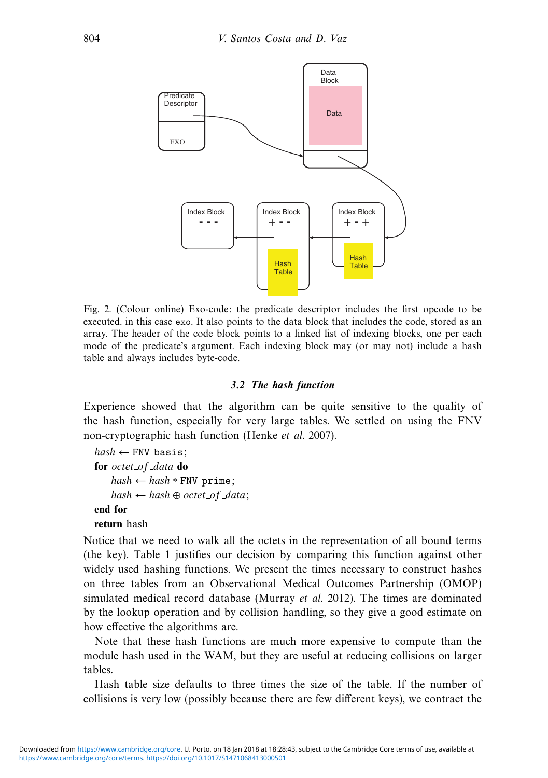

Fig. 2. (Colour online) Exo-code: the predicate descriptor includes the first opcode to be executed. in this case exo. It also points to the data block that includes the code, stored as an array. The header of the code block points to a linked list of indexing blocks, one per each mode of the predicate's argument. Each indexing block may (or may not) include a hash table and always includes byte-code.

#### *3.2 The hash function*

Experience showed that the algorithm can be quite sensitive to the quality of the hash function, especially for very large tables. We settled on using the FNV non-cryptographic hash function (Henke et al. 2007).

```
hash \leftarrow FNV\_basis:
for octet of data do
    hash \leftarrow hash * FNV\_prime;hash ← hash ⊕ octet of data;
end for
return hash
```
Notice that we need to walk all the octets in the representation of all bound terms (the key). Table 1 justifies our decision by comparing this function against other widely used hashing functions. We present the times necessary to construct hashes on three tables from an Observational Medical Outcomes Partnership (OMOP) simulated medical record database (Murray *et al.* 2012). The times are dominated by the lookup operation and by collision handling, so they give a good estimate on how effective the algorithms are.

Note that these hash functions are much more expensive to compute than the module hash used in the WAM, but they are useful at reducing collisions on larger tables.

Hash table size defaults to three times the size of the table. If the number of collisions is very low (possibly because there are few different keys), we contract the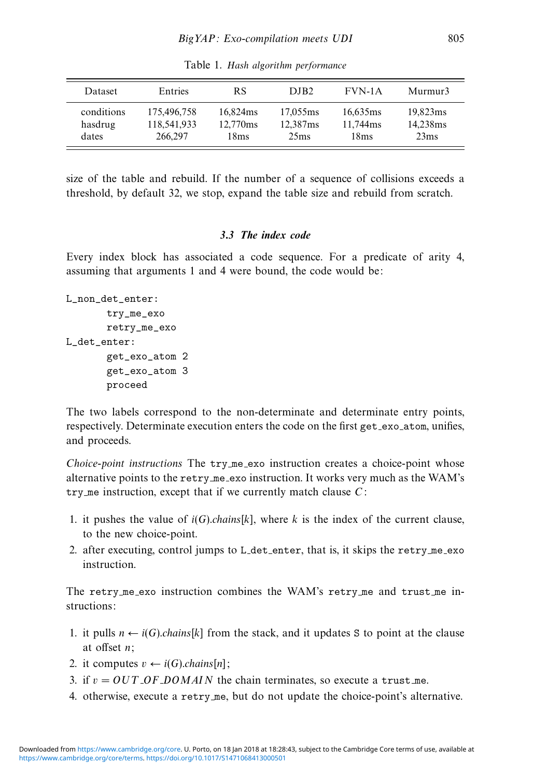| Dataset    | Entries     | <b>RS</b> | DJB <sub>2</sub> | FVN-1A   | Murmur3  |
|------------|-------------|-----------|------------------|----------|----------|
| conditions | 175,496,758 | 16.824ms  | 17.055ms         | 16.635ms | 19.823ms |
| hasdrug    | 118.541.933 | 12.770ms  | 12.387ms         | 11.744ms | 14.238ms |
| dates      | 266,297     | 18ms      | 25 <sub>ms</sub> | 18ms     | 23ms     |

Table 1. Hash algorithm performance

size of the table and rebuild. If the number of a sequence of collisions exceeds a threshold, by default 32, we stop, expand the table size and rebuild from scratch.

# *3.3 The index code*

Every index block has associated a code sequence. For a predicate of arity 4, assuming that arguments 1 and 4 were bound, the code would be:

```
L_non_det_enter:
       try_me_exo
       retry_me_exo
L_det_enter:
       get_exo_atom 2
       get_exo_atom 3
       proceed
```
The two labels correspond to the non-determinate and determinate entry points, respectively. Determinate execution enters the code on the first get\_exo\_atom, unifies, and proceeds.

Choice-point instructions The try me exo instruction creates a choice-point whose alternative points to the retry me exo instruction. It works very much as the WAM's try me instruction, except that if we currently match clause *C*:

- 1. it pushes the value of  $i(G)$ *.chains*[ $k$ ], where  $k$  is the index of the current clause, to the new choice-point.
- 2. after executing, control jumps to L det enter, that is, it skips the retry me exo instruction.

The retry me exo instruction combines the WAM's retry me and trust me instructions:

- 1. it pulls  $n \leftarrow i(G)$ *, chains*[*k*] from the stack, and it updates S to point at the clause at offset *n*;
- 2. it computes  $v \leftarrow i(G)$ *.chains*[*n*];
- 3. if  $v = OUT\_OF\_DOMAIN$  the chain terminates, so execute a trust me.
- 4. otherwise, execute a retry me, but do not update the choice-point's alternative.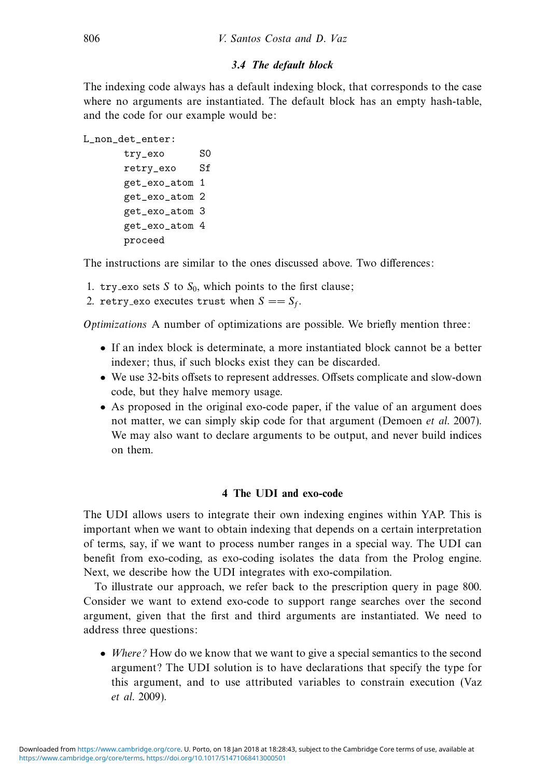# *3.4 The default block*

The indexing code always has a default indexing block, that corresponds to the case where no arguments are instantiated. The default block has an empty hash-table, and the code for our example would be:

```
L_non_det_enter:
```

```
try_exo S0
retry_exo Sf
get_exo_atom 1
get_exo_atom 2
get_exo_atom 3
get_exo_atom 4
proceed
```
The instructions are similar to the ones discussed above. Two differences:

1. try exo sets *S* to  $S_0$ , which points to the first clause;

2. retry\_exo executes trust when  $S = S_f$ .

Optimizations A number of optimizations are possible. We briefly mention three:

- If an index block is determinate, a more instantiated block cannot be a better indexer; thus, if such blocks exist they can be discarded.
- We use 32-bits offsets to represent addresses. Offsets complicate and slow-down code, but they halve memory usage.
- As proposed in the original exo-code paper, if the value of an argument does not matter, we can simply skip code for that argument (Demoen *et al.* 2007). We may also want to declare arguments to be output, and never build indices on them.

# **4 The UDI and exo-code**

The UDI allows users to integrate their own indexing engines within YAP. This is important when we want to obtain indexing that depends on a certain interpretation of terms, say, if we want to process number ranges in a special way. The UDI can benefit from exo-coding, as exo-coding isolates the data from the Prolog engine. Next, we describe how the UDI integrates with exo-compilation.

To illustrate our approach, we refer back to the prescription query in page 800. Consider we want to extend exo-code to support range searches over the second argument, given that the first and third arguments are instantiated. We need to address three questions:

• Where? How do we know that we want to give a special semantics to the second argument? The UDI solution is to have declarations that specify the type for this argument, and to use attributed variables to constrain execution (Vaz et al. 2009).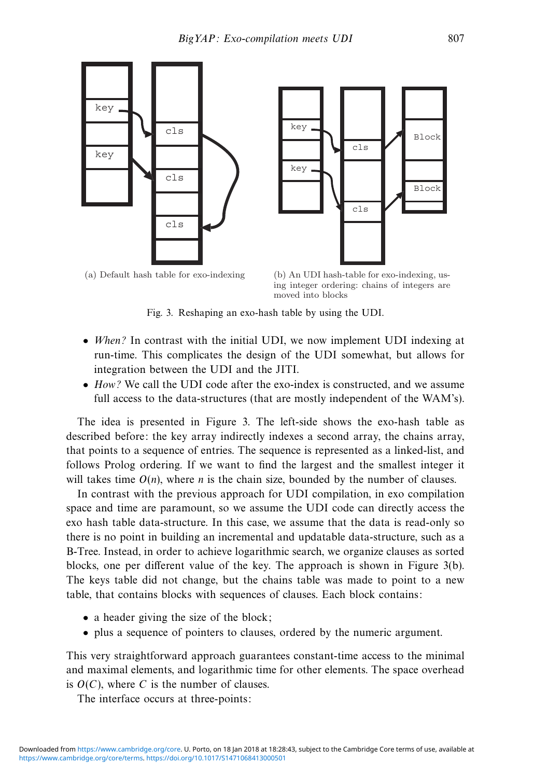



(a) Default hash table for exo-indexing

(b) An UDI hash-table for exo-indexing, using integer ordering: chains of integers are moved into blocks

Fig. 3. Reshaping an exo-hash table by using the UDI.

- When? In contrast with the initial UDI, we now implement UDI indexing at run-time. This complicates the design of the UDI somewhat, but allows for integration between the UDI and the JITI.
- How? We call the UDI code after the exo-index is constructed, and we assume full access to the data-structures (that are mostly independent of the WAM's).

The idea is presented in Figure 3. The left-side shows the exo-hash table as described before: the key array indirectly indexes a second array, the chains array, that points to a sequence of entries. The sequence is represented as a linked-list, and follows Prolog ordering. If we want to find the largest and the smallest integer it will takes time  $O(n)$ , where *n* is the chain size, bounded by the number of clauses.

In contrast with the previous approach for UDI compilation, in exo compilation space and time are paramount, so we assume the UDI code can directly access the exo hash table data-structure. In this case, we assume that the data is read-only so there is no point in building an incremental and updatable data-structure, such as a B-Tree. Instead, in order to achieve logarithmic search, we organize clauses as sorted blocks, one per different value of the key. The approach is shown in Figure 3(b). The keys table did not change, but the chains table was made to point to a new table, that contains blocks with sequences of clauses. Each block contains:

- a header giving the size of the block;
- plus a sequence of pointers to clauses, ordered by the numeric argument.

This very straightforward approach guarantees constant-time access to the minimal and maximal elements, and logarithmic time for other elements. The space overhead is  $O(C)$ , where *C* is the number of clauses.

The interface occurs at three-points: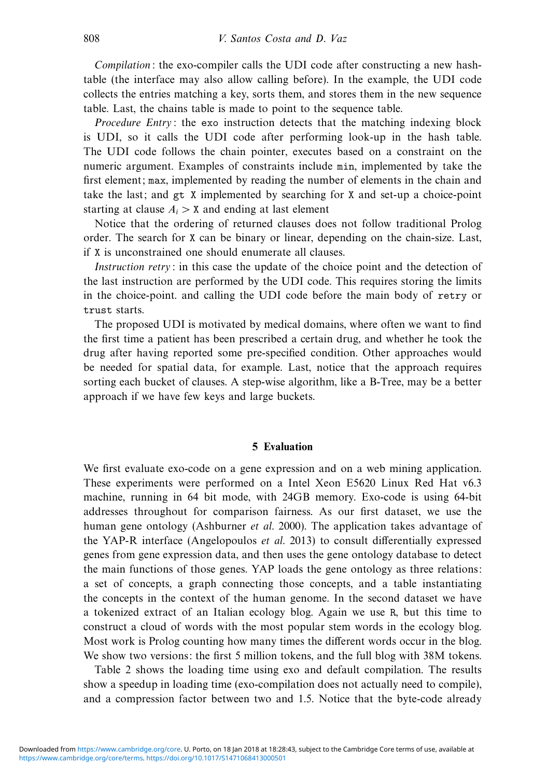Compilation: the exo-compiler calls the UDI code after constructing a new hashtable (the interface may also allow calling before). In the example, the UDI code collects the entries matching a key, sorts them, and stores them in the new sequence table. Last, the chains table is made to point to the sequence table.

Procedure Entry: the exo instruction detects that the matching indexing block is UDI, so it calls the UDI code after performing look-up in the hash table. The UDI code follows the chain pointer, executes based on a constraint on the numeric argument. Examples of constraints include min, implemented by take the first element; max, implemented by reading the number of elements in the chain and take the last; and gt X implemented by searching for X and set-up a choice-point starting at clause  $A_i$  > X and ending at last element

Notice that the ordering of returned clauses does not follow traditional Prolog order. The search for X can be binary or linear, depending on the chain-size. Last, if X is unconstrained one should enumerate all clauses.

Instruction retry: in this case the update of the choice point and the detection of the last instruction are performed by the UDI code. This requires storing the limits in the choice-point. and calling the UDI code before the main body of retry or trust starts.

The proposed UDI is motivated by medical domains, where often we want to find the first time a patient has been prescribed a certain drug, and whether he took the drug after having reported some pre-specified condition. Other approaches would be needed for spatial data, for example. Last, notice that the approach requires sorting each bucket of clauses. A step-wise algorithm, like a B-Tree, may be a better approach if we have few keys and large buckets.

# **5 Evaluation**

We first evaluate exo-code on a gene expression and on a web mining application. These experiments were performed on a Intel Xeon E5620 Linux Red Hat v6.3 machine, running in 64 bit mode, with 24GB memory. Exo-code is using 64-bit addresses throughout for comparison fairness. As our first dataset, we use the human gene ontology (Ashburner et al. 2000). The application takes advantage of the YAP-R interface (Angelopoulos et al. 2013) to consult differentially expressed genes from gene expression data, and then uses the gene ontology database to detect the main functions of those genes. YAP loads the gene ontology as three relations: a set of concepts, a graph connecting those concepts, and a table instantiating the concepts in the context of the human genome. In the second dataset we have a tokenized extract of an Italian ecology blog. Again we use R, but this time to construct a cloud of words with the most popular stem words in the ecology blog. Most work is Prolog counting how many times the different words occur in the blog. We show two versions: the first 5 million tokens, and the full blog with 38M tokens.

Table 2 shows the loading time using exo and default compilation. The results show a speedup in loading time (exo-compilation does not actually need to compile), and a compression factor between two and 1.5. Notice that the byte-code already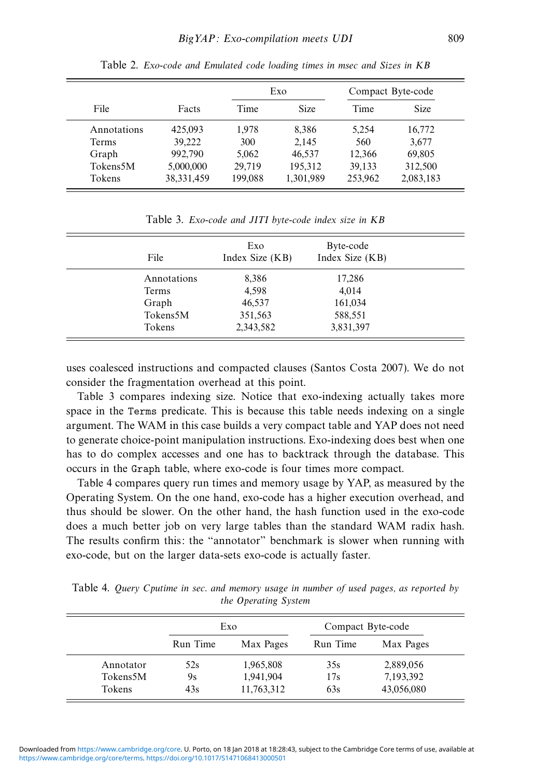|             |              |         | Exo         |         | Compact Byte-code |
|-------------|--------------|---------|-------------|---------|-------------------|
| File        | Facts        | Time    | <b>Size</b> | Time    | <b>Size</b>       |
| Annotations | 425,093      | 1.978   | 8.386       | 5,254   | 16,772            |
| Terms       | 39,222       | 300     | 2,145       | 560     | 3,677             |
| Graph       | 992.790      | 5,062   | 46.537      | 12,366  | 69,805            |
| Tokens5M    | 5,000,000    | 29,719  | 195,312     | 39,133  | 312,500           |
| Tokens      | 38, 331, 459 | 199,088 | 1,301,989   | 253,962 | 2,083,183         |

Table 2. Exo-code and Emulated code loading times in msec and Sizes in KB

Table 3. Exo-code and JITI byte-code index size in KB

| File        | Exo<br>Index Size $(KB)$ | Byte-code<br>Index Size (KB) |  |
|-------------|--------------------------|------------------------------|--|
| Annotations | 8,386                    | 17,286                       |  |
| Terms       | 4,598                    | 4.014                        |  |
| Graph       | 46,537                   | 161,034                      |  |
| Tokens5M    | 351,563                  | 588,551                      |  |
| Tokens      | 2,343,582                | 3,831,397                    |  |

uses coalesced instructions and compacted clauses (Santos Costa 2007). We do not consider the fragmentation overhead at this point.

Table 3 compares indexing size. Notice that exo-indexing actually takes more space in the Terms predicate. This is because this table needs indexing on a single argument. The WAM in this case builds a very compact table and YAP does not need to generate choice-point manipulation instructions. Exo-indexing does best when one has to do complex accesses and one has to backtrack through the database. This occurs in the Graph table, where exo-code is four times more compact.

Table 4 compares query run times and memory usage by YAP, as measured by the Operating System. On the one hand, exo-code has a higher execution overhead, and thus should be slower. On the other hand, the hash function used in the exo-code does a much better job on very large tables than the standard WAM radix hash. The results confirm this: the "annotator" benchmark is slower when running with exo-code, but on the larger data-sets exo-code is actually faster.

Table 4. Query Cputime in sec. and memory usage in number of used pages, as reported by the Operating System

|           | Exo      |            | Compact Byte-code |            |
|-----------|----------|------------|-------------------|------------|
|           | Run Time | Max Pages  | Run Time          | Max Pages  |
| Annotator | 52s      | 1,965,808  | 35s               | 2,889,056  |
| Tokens5M  | 9s       | 1,941,904  | 17s               | 7,193,392  |
| Tokens    | 43s      | 11,763,312 | 63s               | 43,056,080 |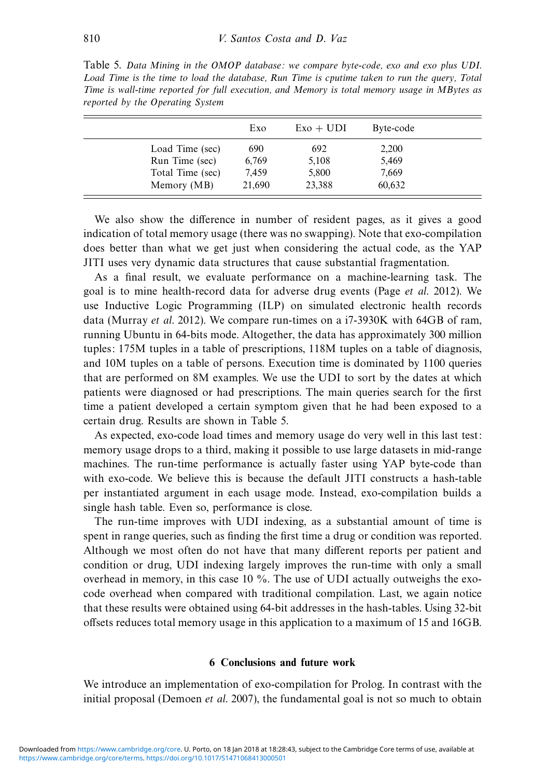Table 5. Data Mining in the OMOP database: we compare byte-code, exo and exo plus UDI. Load Time is the time to load the database, Run Time is cputime taken to run the query, Total Time is wall-time reported for full execution, and Memory is total memory usage in MBytes as reported by the Operating System

|                  | Exo    | $Exo + UDI$ | Byte-code |  |
|------------------|--------|-------------|-----------|--|
| Load Time (sec)  | 690    | 692         | 2,200     |  |
| Run Time (sec)   | 6,769  | 5,108       | 5,469     |  |
| Total Time (sec) | 7,459  | 5,800       | 7,669     |  |
| Memory (MB)      | 21,690 | 23,388      | 60,632    |  |

We also show the difference in number of resident pages, as it gives a good indication of total memory usage (there was no swapping). Note that exo-compilation does better than what we get just when considering the actual code, as the YAP JITI uses very dynamic data structures that cause substantial fragmentation.

As a final result, we evaluate performance on a machine-learning task. The goal is to mine health-record data for adverse drug events (Page et al. 2012). We use Inductive Logic Programming (ILP) on simulated electronic health records data (Murray et al. 2012). We compare run-times on a i7-3930K with 64GB of ram, running Ubuntu in 64-bits mode. Altogether, the data has approximately 300 million tuples: 175M tuples in a table of prescriptions, 118M tuples on a table of diagnosis, and 10M tuples on a table of persons. Execution time is dominated by 1100 queries that are performed on 8M examples. We use the UDI to sort by the dates at which patients were diagnosed or had prescriptions. The main queries search for the first time a patient developed a certain symptom given that he had been exposed to a certain drug. Results are shown in Table 5.

As expected, exo-code load times and memory usage do very well in this last test: memory usage drops to a third, making it possible to use large datasets in mid-range machines. The run-time performance is actually faster using YAP byte-code than with exo-code. We believe this is because the default JITI constructs a hash-table per instantiated argument in each usage mode. Instead, exo-compilation builds a single hash table. Even so, performance is close.

The run-time improves with UDI indexing, as a substantial amount of time is spent in range queries, such as finding the first time a drug or condition was reported. Although we most often do not have that many different reports per patient and condition or drug, UDI indexing largely improves the run-time with only a small overhead in memory, in this case 10 %. The use of UDI actually outweighs the exocode overhead when compared with traditional compilation. Last, we again notice that these results were obtained using 64-bit addresses in the hash-tables. Using 32-bit offsets reduces total memory usage in this application to a maximum of 15 and 16GB.

### **6 Conclusions and future work**

We introduce an implementation of exo-compilation for Prolog. In contrast with the initial proposal (Demoen *et al.* 2007), the fundamental goal is not so much to obtain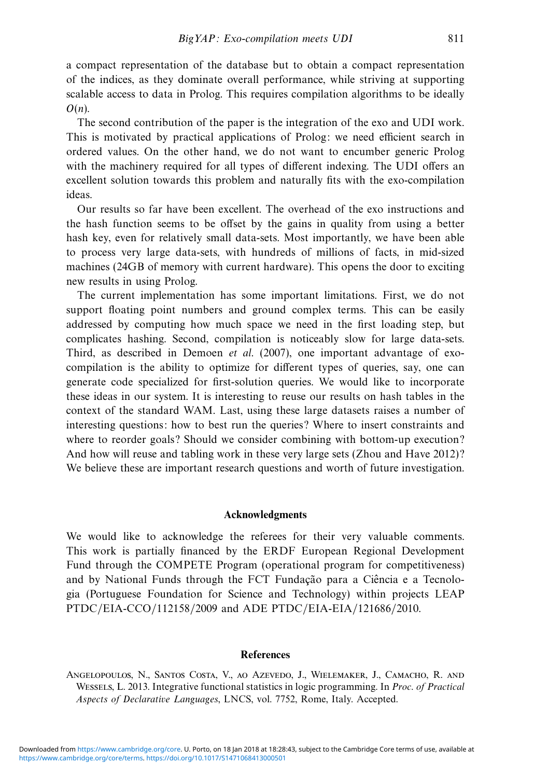a compact representation of the database but to obtain a compact representation of the indices, as they dominate overall performance, while striving at supporting scalable access to data in Prolog. This requires compilation algorithms to be ideally *O*(*n*).

The second contribution of the paper is the integration of the exo and UDI work. This is motivated by practical applications of Prolog: we need efficient search in ordered values. On the other hand, we do not want to encumber generic Prolog with the machinery required for all types of different indexing. The UDI offers an excellent solution towards this problem and naturally fits with the exo-compilation ideas.

Our results so far have been excellent. The overhead of the exo instructions and the hash function seems to be offset by the gains in quality from using a better hash key, even for relatively small data-sets. Most importantly, we have been able to process very large data-sets, with hundreds of millions of facts, in mid-sized machines (24GB of memory with current hardware). This opens the door to exciting new results in using Prolog.

The current implementation has some important limitations. First, we do not support floating point numbers and ground complex terms. This can be easily addressed by computing how much space we need in the first loading step, but complicates hashing. Second, compilation is noticeably slow for large data-sets. Third, as described in Demoen et al. (2007), one important advantage of exocompilation is the ability to optimize for different types of queries, say, one can generate code specialized for first-solution queries. We would like to incorporate these ideas in our system. It is interesting to reuse our results on hash tables in the context of the standard WAM. Last, using these large datasets raises a number of interesting questions: how to best run the queries? Where to insert constraints and where to reorder goals? Should we consider combining with bottom-up execution? And how will reuse and tabling work in these very large sets (Zhou and Have 2012)? We believe these are important research questions and worth of future investigation.

#### **Acknowledgments**

We would like to acknowledge the referees for their very valuable comments. This work is partially financed by the ERDF European Regional Development Fund through the COMPETE Program (operational program for competitiveness) and by National Funds through the FCT Fundação para a Ciência e a Tecnologia (Portuguese Foundation for Science and Technology) within projects LEAP PTDC/EIA-CCO/112158/2009 and ADE PTDC/EIA-EIA/121686/2010.

#### **References**

Angelopoulos, N., Santos Costa, V., ao Azevedo, J., Wielemaker, J., Camacho, R. and Wessels, L. 2013. Integrative functional statistics in logic programming. In Proc. of Practical Aspects of Declarative Languages, LNCS, vol. 7752, Rome, Italy. Accepted.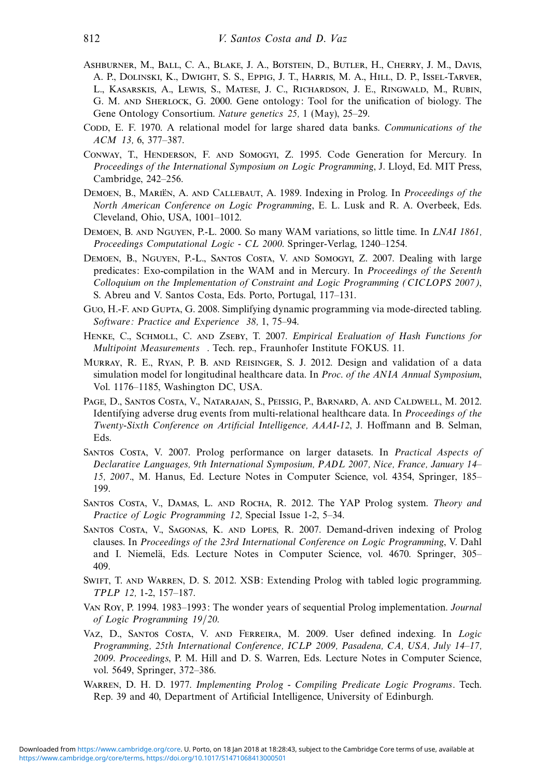- Ashburner, M., Ball, C. A., Blake, J. A., Botstein, D., Butler, H., Cherry, J. M., Davis, A. P., Dolinski, K., Dwight, S. S., Eppig, J. T., Harris, M. A., Hill, D. P., Issel-Tarver, L., Kasarskis, A., Lewis, S., Matese, J. C., Richardson, J. E., Ringwald, M., Rubin, G. M. and Sherlock, G. 2000. Gene ontology: Tool for the unification of biology. The Gene Ontology Consortium. Nature genetics 25, 1 (May), 25–29.
- Copp, E. F. 1970. A relational model for large shared data banks. Communications of the ACM 13, 6, 377–387.
- Conway, T., Henderson, F. and Somogyi, Z. 1995. Code Generation for Mercury. In Proceedings of the International Symposium on Logic Programming, J. Lloyd, Ed. MIT Press, Cambridge, 242–256.
- DEMOEN, B., MARIËN, A. AND CALLEBAUT, A. 1989. Indexing in Prolog. In Proceedings of the North American Conference on Logic Programming, E. L. Lusk and R. A. Overbeek, Eds. Cleveland, Ohio, USA, 1001–1012.
- DEMOEN, B. AND NGUYEN, P.-L. 2000. So many WAM variations, so little time. In LNAI 1861, Proceedings Computational Logic - CL 2000. Springer-Verlag, 1240–1254.
- Demoen, B., Nguyen, P.-L., Santos Costa, V. and Somogyi, Z. 2007. Dealing with large predicates: Exo-compilation in the WAM and in Mercury. In Proceedings of the Seventh Colloquium on the Implementation of Constraint and Logic Programming (CICLOPS 2007), S. Abreu and V. Santos Costa, Eds. Porto, Portugal, 117–131.
- Guo, H.-F. and Gupta, G. 2008. Simplifying dynamic programming via mode-directed tabling. Software: Practice and Experience 38, 1, 75–94.
- HENKE, C., SCHMOLL, C. AND ZSEBY, T. 2007. Empirical Evaluation of Hash Functions for Multipoint Measurements . Tech. rep., Fraunhofer Institute FOKUS. 11.
- Murray, R. E., Ryan, P. B. and Reisinger, S. J. 2012. Design and validation of a data simulation model for longitudinal healthcare data. In Proc. of the ANIA Annual Symposium, Vol. 1176–1185, Washington DC, USA.
- Page, D., Santos Costa, V., Natarajan, S., Peissig, P., Barnard, A. and Caldwell, M. 2012. Identifying adverse drug events from multi-relational healthcare data. In Proceedings of the Twenty-Sixth Conference on Artificial Intelligence, AAAI-12, J. Hoffmann and B. Selman, Eds.
- Santos Costa, V. 2007. Prolog performance on larger datasets. In Practical Aspects of Declarative Languages, 9th International Symposium, PADL 2007, Nice, France, January 14– 15, 2007., M. Hanus, Ed. Lecture Notes in Computer Science, vol. 4354, Springer, 185– 199.
- Santos Costa, V., Damas, L. and Rocha, R. 2012. The YAP Prolog system. Theory and Practice of Logic Programming 12, Special Issue 1-2, 5–34.
- Santos Costa, V., Sagonas, K. and Lopes, R. 2007. Demand-driven indexing of Prolog clauses. In Proceedings of the 23rd International Conference on Logic Programming, V. Dahl and I. Niemelä, Eds. Lecture Notes in Computer Science, vol. 4670. Springer, 305– 409.
- Swift, T. and Warren, D. S. 2012. XSB: Extending Prolog with tabled logic programming. TPLP 12, 1-2, 157–187.
- Van Roy, P. 1994. 1983–1993: The wonder years of sequential Prolog implementation. Journal of Logic Programming 19/20.
- Vaz, D., Santos Costa, V. and Ferreira, M. 2009. User defined indexing. In Logic Programming, 25th International Conference, ICLP 2009, Pasadena, CA, USA, July 14–17, 2009. Proceedings, P. M. Hill and D. S. Warren, Eds. Lecture Notes in Computer Science, vol. 5649, Springer, 372–386.
- WARREN, D. H. D. 1977. Implementing Prolog Compiling Predicate Logic Programs. Tech. Rep. 39 and 40, Department of Artificial Intelligence, University of Edinburgh.